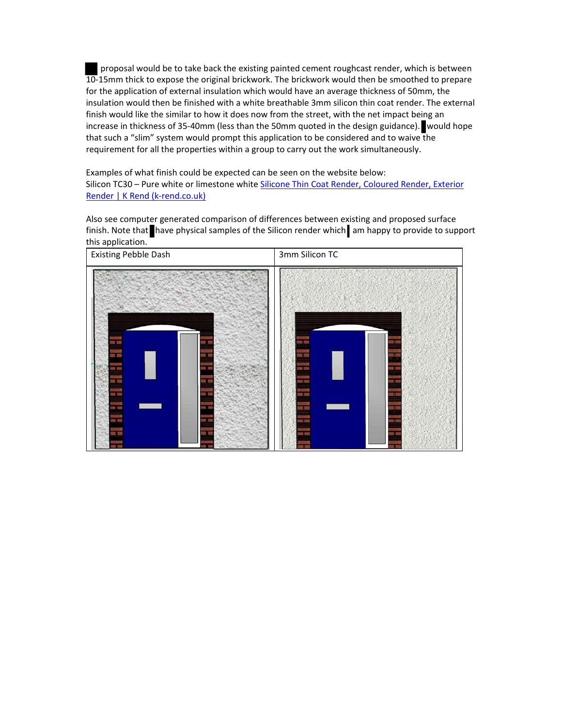proposal would be to take back the existing painted cement roughcast render, which is between 10‐15mm thick to expose the original brickwork. The brickwork would then be smoothed to prepare for the application of external insulation which would have an average thickness of 50mm, the insulation would then be finished with a white breathable 3mm silicon thin coat render. The external finish would like the similar to how it does now from the street, with the net impact being an increase in thickness of 35‐40mm (less than the 50mm quoted in the design guidance). would hope that such a "slim" system would prompt this application to be considered and to waive the requirement for all the properties within a group to carry out the work simultaneously.

Examples of what finish could be expected can be seen on the website below: Silicon TC30 - Pure white or limestone white Silicone Thin Coat Render, Coloured Render, Exterior Render | K Rend (k‐rend.co.uk)

Also see computer generated comparison of differences between existing and proposed surface finish. Note that have physical samples of the Silicon render which am happy to provide to support this application.

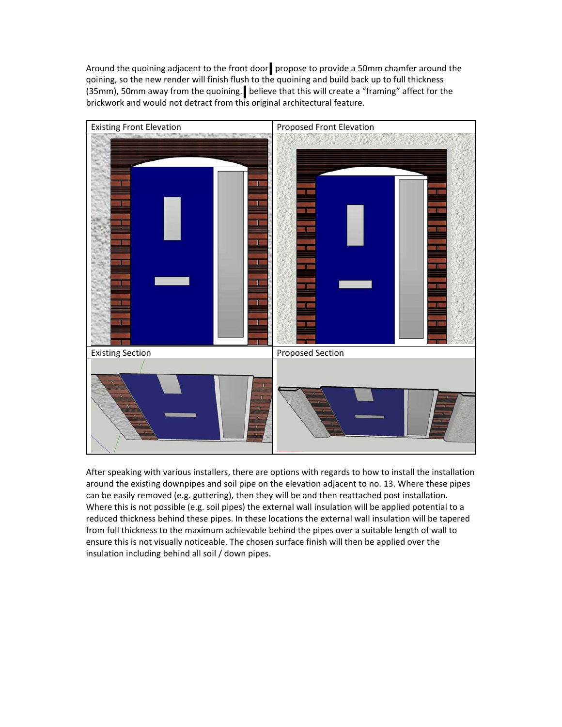Around the quoining adjacent to the front door propose to provide a 50mm chamfer around the qoining, so the new render will finish flush to the quoining and build back up to full thickness (35mm), 50mm away from the quoining. believe that this will create a "framing" affect for the brickwork and would not detract from this original architectural feature.



After speaking with various installers, there are options with regards to how to install the installation around the existing downpipes and soil pipe on the elevation adjacent to no. 13. Where these pipes can be easily removed (e.g. guttering), then they will be and then reattached post installation. Where this is not possible (e.g. soil pipes) the external wall insulation will be applied potential to a reduced thickness behind these pipes. In these locations the external wall insulation will be tapered from full thickness to the maximum achievable behind the pipes over a suitable length of wall to ensure this is not visually noticeable. The chosen surface finish will then be applied over the insulation including behind all soil / down pipes.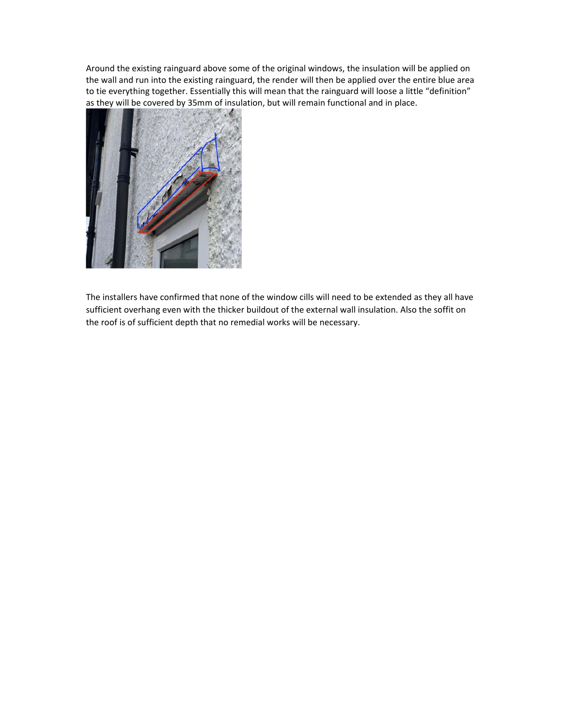Around the existing rainguard above some of the original windows, the insulation will be applied on the wall and run into the existing rainguard, the render will then be applied over the entire blue area to tie everything together. Essentially this will mean that the rainguard will loose a little "definition" as they will be covered by 35mm of insulation, but will remain functional and in place.



The installers have confirmed that none of the window cills will need to be extended as they all have sufficient overhang even with the thicker buildout of the external wall insulation. Also the soffit on the roof is of sufficient depth that no remedial works will be necessary.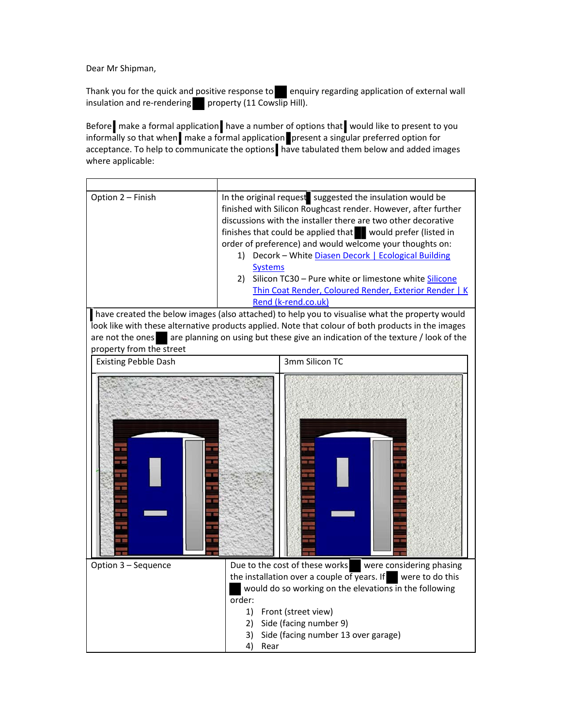Dear Mr Shipman,

Thank you for the quick and positive response to enquiry regarding application of external wall insulation and re-rendering property (11 Cowslip Hill).

Before **make a formal application** have a number of options that would like to present to you informally so that when make a formal application present a singular preferred option for acceptance. To help to communicate the options have tabulated them below and added images where applicable:

| Option 2 - Finish                                                                              | In the original request suggested the insulation would be<br>finished with Silicon Roughcast render. However, after further<br>discussions with the installer there are two other decorative<br>finishes that could be applied that would prefer (listed in<br>order of preference) and would welcome your thoughts on:<br>1) Decork - White Diasen Decork   Ecological Building<br><b>Systems</b><br>2) Silicon TC30 - Pure white or limestone white Silicone<br>Thin Coat Render, Coloured Render, Exterior Render   K<br>Rend (k-rend.co.uk) |
|------------------------------------------------------------------------------------------------|-------------------------------------------------------------------------------------------------------------------------------------------------------------------------------------------------------------------------------------------------------------------------------------------------------------------------------------------------------------------------------------------------------------------------------------------------------------------------------------------------------------------------------------------------|
| have created the below images (also attached) to help you to visualise what the property would |                                                                                                                                                                                                                                                                                                                                                                                                                                                                                                                                                 |
|                                                                                                | look like with these alternative products applied. Note that colour of both products in the images                                                                                                                                                                                                                                                                                                                                                                                                                                              |
|                                                                                                | are not the ones are planning on using but these give an indication of the texture / look of the                                                                                                                                                                                                                                                                                                                                                                                                                                                |
| property from the street                                                                       | 3mm Silicon TC                                                                                                                                                                                                                                                                                                                                                                                                                                                                                                                                  |
| <b>Existing Pebble Dash</b>                                                                    |                                                                                                                                                                                                                                                                                                                                                                                                                                                                                                                                                 |
|                                                                                                |                                                                                                                                                                                                                                                                                                                                                                                                                                                                                                                                                 |
| Option 3 - Sequence                                                                            | Due to the cost of these works<br>were considering phasing<br>the installation over a couple of years. If<br>were to do this<br>would do so working on the elevations in the following<br>order:                                                                                                                                                                                                                                                                                                                                                |
|                                                                                                | 1)<br>Front (street view)                                                                                                                                                                                                                                                                                                                                                                                                                                                                                                                       |
|                                                                                                | 2) Side (facing number 9)                                                                                                                                                                                                                                                                                                                                                                                                                                                                                                                       |
|                                                                                                | Side (facing number 13 over garage)<br>3)                                                                                                                                                                                                                                                                                                                                                                                                                                                                                                       |
|                                                                                                | 4)<br>Rear                                                                                                                                                                                                                                                                                                                                                                                                                                                                                                                                      |